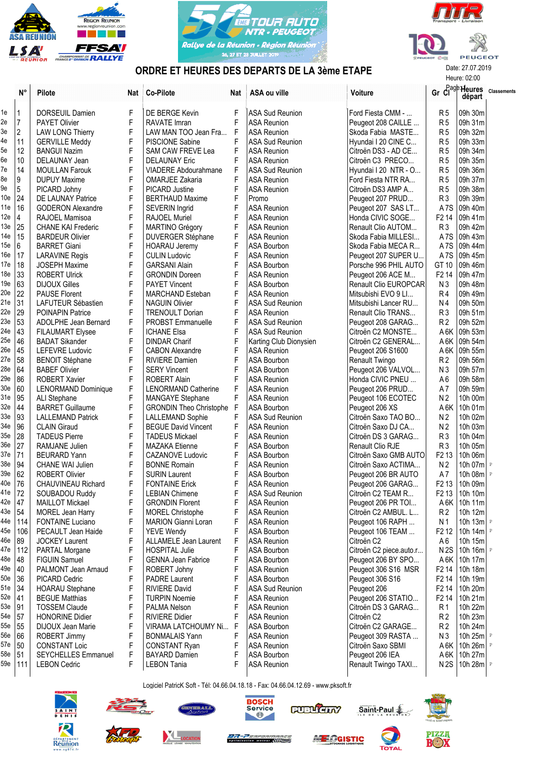





Heure: 02:00

## ORDRE ET HEURES DES DEPARTS DE LA 3ème ETAPE

|            | $N^{\circ}$  | Pilote                            | Nat         | <b>Co-Pilote</b>                             | Nat         | ASA ou ville                             | Voiture                                      |                                        | $Gr$ $Cl^{age}$ Heures<br>départ | <b>Classements</b> |
|------------|--------------|-----------------------------------|-------------|----------------------------------------------|-------------|------------------------------------------|----------------------------------------------|----------------------------------------|----------------------------------|--------------------|
| 1e         | $\mathbf{1}$ | DORSEUIL Damien                   | F           | DE BERGE Kevin                               | F           | <b>ASA Sud Reunion</b>                   | Ford Fiesta CMM -                            | R <sub>5</sub>                         | 09h 30m                          |                    |
| 2e         | $\vert$ 7    | PAYET Olivier                     | F           | <b>RAVATE Imran</b>                          | F           | ASA Reunion                              | Peugeot 208 CAILLE                           | R <sub>5</sub>                         | 09h 31m                          |                    |
| 3e         | 2            | <b>LAW LONG Thierry</b>           | F           | LAW MAN TOO Jean Fra                         | $\mathsf F$ | ASA Reunion                              | Skoda Fabia MASTE                            | R <sub>5</sub>                         | 09h 32m                          |                    |
| 4e         | 11           | <b>GERVILLE Meddy</b>             | F           | PISCIONE Sabine                              | F           | <b>ASA Sud Reunion</b>                   | Hyundai I 20 CINE C                          | R <sub>5</sub>                         | 09h 33m                          |                    |
| 5e         | 12           | <b>BANGUI Nazim</b>               | F           | <b>SAM CAW FREVE Lea</b>                     | F           | <b>ASA Reunion</b>                       | Citroën DS3 - AD CE                          | R <sub>5</sub>                         | 09h 34m                          |                    |
| 6e         | 10           | DELAUNAY Jean                     | F           | <b>DELAUNAY Eric</b>                         | F           | <b>ASA Reunion</b>                       | Citroën C3 PRECO                             | R <sub>5</sub>                         | 09h 35m                          |                    |
| 7e         | 14           | <b>MOULLAN Farouk</b>             | F           | VIADERE Abdourahmane                         | F           | ASA Sud Reunion                          | Hyundai I 20 NTR - O                         | R <sub>5</sub>                         | 09h 36m                          |                    |
| 8e         | 9            | <b>DUPUY Maxime</b>               | F           | <b>OMARJEE Zakaria</b>                       | F           | <b>ASA Reunion</b>                       | Ford Fiesta NTR RA                           | R <sub>5</sub>                         | 09h 37m                          |                    |
| 9е         | 5            | PICARD Johny                      | F           | <b>PICARD Justine</b>                        | F           | <b>ASA Reunion</b>                       | Citroën DS3 AMP A                            | R <sub>5</sub>                         | 09h 38m                          |                    |
| 10e        | 24           | DE LAUNAY Patrice                 | F           | <b>BERTHAUD Maxime</b>                       | F           | Promo                                    | Peugeot 207 PRUD                             | R <sub>3</sub>                         | 09h 39m                          |                    |
| 11e        | 16           | <b>GODERON Alexandre</b>          | F           | SEVERIN Ingrid                               | F           | <b>ASA Reunion</b>                       | Peugeot 207 SAS LT                           | A <sub>7</sub> S                       | 09h 40m                          |                    |
| 12e        | 4            | RAJOEL Mamisoa                    | F           | RAJOEL Muriel                                | F           | <b>ASA Reunion</b>                       | Honda CIVIC SOGE                             | F <sub>2</sub> 14                      | 09h 41m                          |                    |
| 13e        | 25           | <b>CHANE KAI Frederic</b>         | F           | <b>MARTINO Grégory</b>                       | F           | <b>ASA Reunion</b>                       | Renault Clio AUTOM                           | R <sub>3</sub>                         | 09h 42m                          |                    |
| 14e        | 15           | <b>BARDEUR Olivier</b>            | F           | DUVERGER Stéphane                            | F           | <b>ASA Reunion</b>                       | Skoda Fabia MILLESI                          | A <sub>7</sub> S                       | 09h 43m                          |                    |
| 15e        | 6            | <b>BARRET Giani</b>               | F           | <b>HOARAU Jeremy</b>                         | F           | <b>ASA Bourbon</b>                       | Skoda Fabia MECA R                           | A7S                                    | 09h 44m                          |                    |
| 16e        | 17           | <b>LARAVINE Regis</b>             | F           | <b>CULIN Ludovic</b>                         | F           | <b>ASA Reunion</b>                       | Peugeot 207 SUPER U                          | A <sub>7</sub> S                       | 09h 45m                          |                    |
| 17e        | 18           | <b>JOSEPH Maxime</b>              | F           | <b>GARSANI Alain</b>                         | F           | ASA Bourbon                              | Porsche 996 PHIL AUTO                        | GT 10                                  | 09h 46m                          |                    |
| 18e        | 33           | <b>ROBERT Ulrick</b>              | F           | <b>GRONDIN Doreen</b>                        | F           | <b>ASA Reunion</b>                       | Peugeot 206 ACE M                            | F <sub>2</sub> 14                      | 09h 47m                          |                    |
| 19e        | 63           | <b>DIJOUX Gilles</b>              | F           | <b>PAYET Vincent</b>                         | F           | <b>ASA Bourbon</b>                       | Renault Clio EUROPCAR                        | N <sub>3</sub>                         | 09h 48m                          |                    |
| 20e        | 22           | <b>PAUSE Florent</b>              | F           | <b>MARCHAND Esteban</b>                      | F           | <b>ASA Reunion</b>                       | Mitsubishi EVO 9 Ll                          | R <sub>4</sub>                         | 09h 49m                          |                    |
| 21e        | 31           | LAFUTEUR Sébastien                | F           | <b>NAGUIN Olivier</b>                        | F           | ASA Sud Reunion                          | Mitsubishi Lancer RU                         | N <sub>4</sub>                         | 09h 50m                          |                    |
| 22e        | 29           | POINAPIN Patrice                  | F           | <b>TRENOULT Dorian</b>                       | F           | <b>ASA Reunion</b>                       | Renault Clio TRANS                           | R <sub>3</sub>                         | 09h 51m                          |                    |
| 23e        | 53           | ADOLPHE Jean Bernard              | F           | <b>PROBST Emmanuelle</b>                     | F           | <b>ASA Sud Reunion</b>                   | Peugeot 208 GARAG                            | R <sub>2</sub>                         | 09h 52m                          |                    |
| 24e        | 43           | <b>FILAUMART Elysee</b>           | F           | <b>ICHANE Elsa</b>                           | F           | <b>ASA Sud Reunion</b>                   | Citroën C2 MONSTE                            | A 6K                                   | 09h 53m                          |                    |
| 25e        | 46           | <b>BADAT Sikander</b>             | F           | <b>DINDAR Charif</b>                         | F           | Karting Club Dionysien                   | Citroën C2 GENERAL                           | A 6K                                   | 09h 54m                          |                    |
| 26e        | 45           | LEFEVRE Ludovic                   | F           | <b>CABON Alexandre</b>                       | F           | <b>ASA Reunion</b>                       | Peugeot 206 S1600                            | A 6K                                   | 09h 55m                          |                    |
| 27e        | 58           | <b>BENOIT Stéphane</b>            | F           | <b>RIVIERE Damien</b>                        | F           | <b>ASA Bourbon</b>                       | Renault Twingo                               | R <sub>2</sub>                         | 09h 56m                          |                    |
| 28e        | 64           | <b>BABEF Olivier</b>              | F           | <b>SERY Vincent</b>                          | F           | ASA Bourbon                              | Peugeot 206 VALVOL                           | N <sub>3</sub>                         | 09h 57m                          |                    |
| 29e        | 86           | ROBERT Xavier                     | F           | <b>ROBERT Alain</b>                          | F           | <b>ASA Reunion</b>                       | Honda CIVIC PNEU                             | A <sub>6</sub>                         | 09h 58m                          |                    |
| 30e        | 60           | <b>LENORMAND Dominique</b>        | F           | <b>LENORMAND Catherine</b>                   | F           | <b>ASA Reunion</b>                       | Peugeot 206 PRUD                             | A7                                     | 09h 59m                          |                    |
| 31e        | 95           | ALI Stephane                      | F           | <b>MANGAYE Stephane</b>                      | F           | <b>ASA Reunion</b>                       | Peugeot 106 ECOTEC                           | N <sub>2</sub>                         | 10h 00m                          |                    |
| 32e        | 44           | <b>BARRET Guillaume</b>           | F           | <b>GRONDIN Theo Christophe</b>               | $\mathsf F$ | ASA Bourbon                              | Peugeot 206 XS                               | A 6K                                   | 10h 01m                          |                    |
| 33e        | 93           | <b>LALLEMAND Patrick</b>          | F           | LALLEMAND Sophie                             | F           | <b>ASA Sud Reunion</b>                   | Citroën Saxo TAO BO                          | N <sub>2</sub>                         | 10h 02m                          |                    |
| 34e        | 96           | <b>CLAIN Giraud</b>               | F           | <b>BEGUE David Vincent</b>                   | F           | <b>ASA Reunion</b>                       | Citroën Saxo DJ CA                           | N <sub>2</sub>                         | 10h 03m                          |                    |
| 35e        | 28           | <b>TADEUS Pierre</b>              | $\mathsf F$ | <b>TADEUS Mickael</b>                        | F           | <b>ASA Reunion</b>                       | Citroën DS 3 GARAG                           | R <sub>3</sub>                         | 10h 04m                          |                    |
| 36e        | 27           | RAMJANE Julien                    | F           | <b>MAZAKA Etienne</b>                        | F           | <b>ASA Bourbon</b>                       | Renault Clio RJE                             | R <sub>3</sub>                         | 10h 05m                          |                    |
| 37e        | 71           | <b>BEURARD Yann</b>               | F           | <b>CAZANOVE Ludovic</b>                      | F           | <b>ASA Bourbon</b>                       | Citroën Saxo GMB AUTO                        | F <sub>2</sub> 13                      | 10h 06m                          |                    |
| 38e        | 94           | <b>CHANE WAI Julien</b>           | F           | <b>BONNE Romain</b>                          | F           | <b>ASA Reunion</b>                       | Citroën Saxo ACTIMA                          | N <sub>2</sub>                         | 10h 07m $\vert$ P                |                    |
| 39e        | 62           | <b>ROBERT Olivier</b>             | F           | <b>SURIN Laurent</b>                         | F           | ASA Bourbon                              | Peugeot 206 BR AUTO                          | A7                                     | 10h 08m $ P $                    |                    |
| 40e        | 76           | <b>CHAUVINEAU Richard</b>         | F           | <b>FONTAINE Erick</b>                        | F           | <b>ASA Reunion</b>                       | Peugeot 206 GARAG                            | F <sub>2</sub> 13                      | 10h 09m                          |                    |
| 41e        | 72           | SOUBADOU Ruddy                    | F           | <b>LEBIAN Chimene</b>                        |             | <b>ASA Sud Reunion</b>                   | Citroën C2 TEAM R                            | F <sub>2</sub> 13                      | 10h 10m                          |                    |
| 42e        | 47           | <b>MAILLOT Mickael</b>            | F           | <b>GRONDIN Florent</b>                       |             | <b>ASA Reunion</b>                       | Peugeot 206 PR TOI                           | A6K                                    | 10h 11m                          |                    |
| 43e   54   |              | MOREL Jean Harry                  | F           | <b>MOREL Christophe</b>                      |             | <b>ASA Reunion</b>                       | Citroën C2 AMBUL. L                          | R <sub>2</sub>                         | 10h 12m                          |                    |
| 44e        | 114          | FONTAINE Luciano                  | F           | <b>MARION Gianni Loran</b>                   | F           | ASA Reunion                              | Peugeot 106 RAPH                             | N <sub>1</sub>                         | 10h 13m $\vert$ P                |                    |
| 45e        | 106          | PECAULT Jean Haide                | F           | YEVE Wendy                                   | F           | ASA Bourbon                              | Peugeot 106 TEAM                             | F <sub>2</sub> 1 <sub>2</sub>          | 10h 14m $ P $                    |                    |
| 46e        | 89           | <b>JOCKEY Laurent</b>             | F           | ALLAMELE Jean Laurent                        | F           | ASA Reunion                              | Citroën C2                                   | A6                                     | 10h 15m                          |                    |
| 47e        | 112          | PARTAL Morgane                    | F           | <b>HOSPITAL Julie</b>                        | F           | <b>ASA Bourbon</b>                       | Citroën C2 piece.auto.r                      | N2S                                    | 10h 16m $\vert$ P                |                    |
| 48e        | 48           | <b>FIGUIN Samuel</b>              | F           | <b>GENNA Jean Fabrice</b>                    | F           | <b>ASA Bourbon</b>                       | Peugeot 206 BY SPO                           | A 6K                                   | 10h 17m                          |                    |
| 49e        | $ 40\rangle$ | PALMONT Jean Arnaud               | F           | ROBERT Johny                                 | F           | ASA Reunion                              | Peugeot 306 S16 MSR                          | F <sub>2</sub> 14                      | 10h 18m                          |                    |
| 50e<br>51e | 36           | PICARD Cedric                     | F           | <b>PADRE Laurent</b>                         | F           | <b>ASA Bourbon</b>                       | Peugeot 306 S16                              | F <sub>2</sub> 14                      | 10h 19m                          |                    |
| 52e        | 34           | <b>HOARAU Stephane</b>            | F<br>F      | <b>RIVIERE David</b>                         | F<br>F      | <b>ASA Sud Reunion</b>                   | Peugeot 206                                  | F <sub>2</sub> 14<br>F <sub>2</sub> 14 | 10h 20m<br>10h 21m               |                    |
| 53e        | 41           | <b>BEGUE Matthias</b>             |             | <b>TURPIN Noemie</b>                         | F           | ASA Reunion                              | Peugeot 206 STATIO                           |                                        |                                  |                    |
| 54e        | 91           | <b>TOSSEM Claude</b>              | F<br>F      | PALMA Nelson                                 | F           | ASA Reunion<br><b>ASA Reunion</b>        | Citroën DS 3 GARAG<br>Citroën C <sub>2</sub> | R <sub>1</sub>                         | 10h 22m                          |                    |
| 55e        | 57<br>55     | <b>HONORINE Didier</b>            | F           | <b>RIVIERE Didier</b>                        |             |                                          |                                              | R <sub>2</sub>                         | 10h 23m                          |                    |
| 56e        | 66           | DIJOUX Jean Marie<br>ROBERT Jimmy | F           | VIRAMA LATCHOUMY Ni<br><b>BONMALAIS Yann</b> | F           | <b>ASA Bourbon</b><br><b>ASA Reunion</b> | Citroën C2 GARAGE<br>Peugeot 309 RASTA       | R <sub>2</sub><br>N <sub>3</sub>       | 10h 24m<br>10h 25m $ P $         |                    |
| 57e        | 50           | <b>CONSTANT Loic</b>              | F           | <b>CONSTANT Ryan</b>                         | F           | <b>ASA Reunion</b>                       | Citroën Saxo SBMI                            | A 6K                                   | 10h 26m $ P $                    |                    |
| 58e        | 51           | SEYCHELLES Emmanuel               | F           | <b>BAYARD Damien</b>                         | F           | <b>ASA Bourbon</b>                       | Peugeot 206 IEA                              | A 6K                                   | 10h 27m                          |                    |
| 59e        | 111          | <b>LEBON Cedric</b>               | F           | <b>LEBON Tania</b>                           | F           | <b>ASA Reunion</b>                       | Renault Twingo TAXI                          | N 2S                                   | 10h 28m $ P $                    |                    |
|            |              |                                   |             |                                              |             |                                          |                                              |                                        |                                  |                    |

Logiciel PatricK Soft - Tél: 04.66.04.18.18 - Fax: 04.66.04.12.69 - www.pksoft.fr